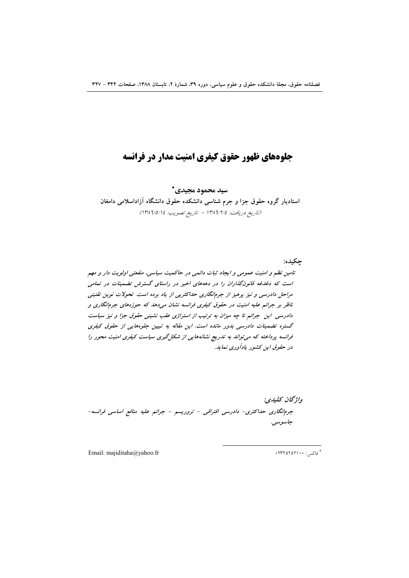# جلوههای ظهور حقوق کیفری امنیت مدار در فرانسه

سید محمود مجیدی\* استادیار گروه حقوق جزا و جرم شناسی دانشکده حقوق دانشگاه آزاداسلامی دامغان (تاريخ دريافت: ١٣٨٦/٢/٤ - تاريخ تصويب: ١٣٨٦/٥/١٤)

تامین نظم و امنیت عمومی و ایجاد ثبات دائمی در حاکمیت سیاسی، منفعتی اولویت دار و مهم است که دغدغه قانونگذاران را در دهههای اخیر در راستای گسترش تضمینات در تمامی مراحل دادرسی و نیز پرهیز از جرمانگاری حداکثریی از یاد برده است. تحولات نوین تقنینی ناظر بر جرائم علیه امنیت در حقوق کیفری فرانسه نشان میدهد که حوزههای جرم نگاری و دادرسی این جرائم تا چه میزان به ترتیب از استراژی عقب نشینی حقوق جزا و نیز سیاست گستره تضمینات دادرسی بدور مانده است. این مقاله به تبیین جلوههایی از حقوق کیفری فرانسه پرداخته که می تواند به تدریج نشانههایی از شکل گیری سیاست کیفری امنیت محور را در حقوق این کشور یادآوری نماید.

واژگان كليدي: جرمانگاری حداکثری- دادرسی افتراقی - تروریسم - جرائم علیه منافع اساسی فرانسه-جاسوسى.

Email: majiditaha@yahoo.fr

\* فاكس: ۲۳۲٥۲٥۲۱۰۰+

حكىدە: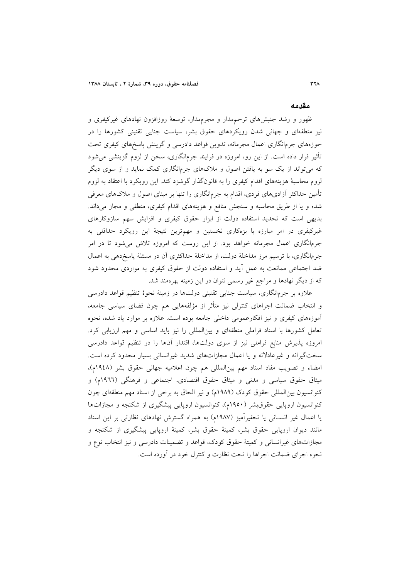#### مقدمه

ظهور و رشد جنبشهای ترحمهدار و مجرمهدار، توسعهٔ روزافزون نهادهای غیرکیفری و نیز منطقهای و جهانی شدن رویکردهای حقوق بشر، سیاست جنایی تقنینی کشورها را در حوزههای جرم|نگاری اعمال مجرمانه، تدوین قواعد دادرسی و گزینش پاسخهای کیفری تحت تأثیر قرار داده است. از این رو، امروزه در فرایند جرمانگاری، سخن از لزوم گزینشی میشود که میتواند از یک سو به یافتن اصول و ملاکهای جرمانگاری کمک نماید و از سوی دیگر لزوم محاسبهٔ هزینههای اقدام کیفری را به قانونگذار گوشزد کند. این رویکرد با اعتقاد به لزوم تأمین حداکثر آزادیهای فردی، اقدام به جرمانگاری را تنها بر مبنای اصول و ملاکهای معرفی شده و یا از طریق محاسبه و سنجش منافع و هزینههای اقدام کیفری، منطقی و مجاز میداند. بدیهی است که تحدید استفاده دولت از ابزار حقوق کیفری و افزایش سهم سازوکارهای غیرکیفری در امر مبارزه با بزهکاری نخستین و مهمترین نتیجهٔ این رویکرد حداقلی به جرمانگاری اعمال مجرمانه خواهد بود. از این روست که امروزه تلاش میشود تا در امر جرمانگاری، با ترسیم مرز مداخلهٔ دولت، از مداخلهٔ حداکثری آن در مسئلهٔ پاسخدهی به اعمال ضد اجتماعی ممانعت به عمل آید و استفاده دولت از حقوق کیفری به مواردی محدود شود که از دیگر نهادها و مراجع غیر رسمی نتوان در این زمینه بهرهمند شد.

علاوه بر جرمانگاری، سیاست جنایی تقنینی دولتها در زمینهٔ نحوهٔ تنظیم قواعد دادرسی و انتخاب ضمانت اجراهای کنترلی نیز متأثر از مؤلفههایی هم چون فضای سیاسی جامعه، آموزههای کیفری و نیز افکارعمومی داخلی جامعه بوده است. علاوه بر موارد یاد شده، نحوه تعامل کشورها با اسناد فراملی منطقهای و بینالمللی را نیز باید اساسی و مهم ارزیابی کرد. امروزه پذیرش منابع فراملی نیز از سوی دولتها، اقتدار آنها را در تنظیم قواعد دادرسی سختگیرانه و غیرعادلانه و یا اعمال مجازاتهای شدید غیرانسانی بسیار محدود کرده است. امضاء وتصويب مفاد اسناد مهم بين المللي هم چون اعلاميه جهاني حقوق بشر (١٩٤٨م). میثاق حقوق سیاسی و مدنی و میثاق حقوق اقتصادی، اجتماعی و فرهنگی (١٩٦٦م) و كنوانسيون بين|لمللي حقوق كودك (١٩٨٩م) و نيز الحاق به برخي از اسناد مهم منطقهاي چون کنوانسیون اروپایی حقوق بشر (۱۹۵۰م)، کنوانسیون اروپایی پیشگیری از شکنجه و مجازاتها یا اعمال غیر انسـانی یا تحقیرآمیز (۱۹۸۷م) به همراه گسترش نهادهای نظارتی بر این اسناد مانند دیوان اروپایی حقوق بشر، کمیتهٔ حقوق بشر، کمیتهٔ اروپایی پیشگیری از شکنجه و مجازاتهای غیرانسانی و کمیتهٔ حقوق کودک، قواعد و تضمینات دادرسی و نیز انتخاب نوع و نحوه اجرای ضمانت اجراها را تحت نظارت و کنترل خود در آورده است.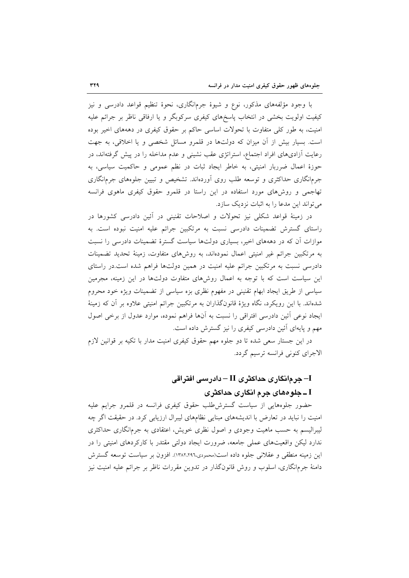با وجود مؤلفههای مذکور، نوع و شیوهٔ جرمانگاری، نحوهٔ تنظیم قواعد دادرسی و نیز کیفیت اولویت بخشی در انتخاب پاسخهای کیفری سرکوبگر و یا ارفاقی ناظر بر جرائم علیه امنیت، به طور کلی متفاوت با تحولات اساسی حاکم بر حقوق کیفری در دهههای اخیر بوده است. بسیار بیش از آن میزان که دولتها در قلمرو مسائل شخصی و یا اخلاقی، به جهت رعایت آزادیهای افراد اجتماع، استراتژی عقب نشینی و عدم مداخله را در پیش گرفتهاند، در حوزهٔ اعمال ضرربار امنیتی، به خاطر ایجاد ثبات در نظم عمومی و حاکمیت سیاسی، به جرمانگاری حداکثری و توسعه طلب روی اَوردهاند. تشخیص و تبیین جلوههای جرمانگاری تهاجمی و روشهای مورد استفاده در این راستا در قلمرو حقوق کیفری ماهوی فرانسه می تواند این مدعا را به اثبات نزدیک سازد.

در زمینهٔ قواعد شکلی نیز تحولات و اصلاحات تقنینی در آئین دادرسی کشورها در راستای گسترش تضمینات دادرسی نسبت به مرتکبین جرائم علیه امنیت نبوده است. به موازات آن که در دهههای اخیر، بسیاری دولتها سیاست گسترهٔ تضمینات دادرسی را نسبت به مرتکبین جرائم غیر امنیتی اعمال نمودهاند، به روشهای متفاوت، زمینهٔ تحدید تضمینات دادرسی نسبت به مرتکبین جرائم علیه امنیت در همین دولتها فراهم شده است.در راستای این سیاست است که با توجه به اعمال روشهای متفاوت دولتها در این زمینه، مجرمین سیاسی از طریق ایجاد ابهام تقنینی در مفهوم نظری بزه سیاسی از تضمینات ویژه خود محروم شدهاند. با این رویکرد، نگاه ویژهٔ قانونگذاران به مرتکبین جرائم امنیتی علاوه بر آن که زمینهٔ ايجاد نوعي أئين دادرسي افتراقي را نسبت به أنها فراهم نموده، موارد عدول از برخي اصول مهم و پایهای آئین دادرسی کیفری را نیز گسترش داده است.

در این جستار سعی شده تا دو جلوه مهم حقوق کیفری امنیت مدار با تکیه بر قوانین لازم الاجراي كنوني فرانسه ترسيم گردد.

# آ– جر مانگار ی حداکثر ی II – دادر سے افتر اقی I ــ جلو ههای جرم انگاری حداکثری

حضور جلوههایی از سیاست گسترش طلب حقوق کیفری فرانسه در قلمرو جرایم علیه امنیت را نباید در تعارض با اندیشههای مبنایی نظامهای لیبرال ارزیابی کرد. در حقیقت اگر چه لیبرالیسم به حسب ماهیت وجودی و اصول نظری خویش، اعتقادی به جرمانگاری حداکثری ندارد لیکن واقعیتهای عملی جامعه، ضرورت ایجاد دولتی مقتدر با کارکردهای امنیتی را در اين زمينه منطقي و عقلاني جلوه داده است(محمودي،١٣٨٢،٢٩٦). افزون بر سياست توسعه گسترش دامنهٔ جرمانگاری، اسلوب و روش قانونگذار در تدوین مقررات ناظر بر جرائم علیه امنیت نیز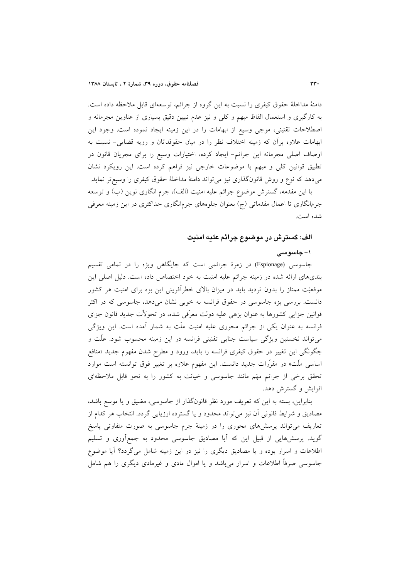دامنهٔ مداخلهٔ حقوق کیفری را نسبت به این گروه از جرائم، توسعهای قابل ملاحظه داده است. به کارگیری و استعمال الفاظ مبهم و کلّی و نیز عدم تبیین دقیق بسیاری از عناوین مجرمانه و اصطلاحات تقنینی، موجی وسیع از ابهامات را در این زمینه ایجاد نموده است. وجود این ابهامات علاوه برأن كه زمينه اختلاف نظر را در ميان حقوقدانان و رويه قضايى- نسبت به اوصاف اصلی مجرمانه این جرائم- ایجاد کرده، اختیارات وسیع را برای مجریان قانون در تطبیق قوانین کلی و مبهم با موضوعات خارجی نیز فراهم کرده است. این رویکرد نشان می،دهد که نوع و روش قانونگذاری نیز میتواند دامنهٔ مداخلهٔ حقوق کیفری را وسیع تر نماید. با این مقدمه، گسترش موضوع جرائم علیه امنیت (الف)، جرم انگاری نوین (ب) و توسعه

جرمانگاری تا اعمال مقدماتی (ج) بعنوان جلوههای جرمانگاری حداکثری در این زمینه معرفی شده است.

# الف: گسترش در موضوع جرائم عليه امنيت

### ۱– حاسو سے

جاسوسی (Espionage) در زمرهٔ جرائمی است که جایگاهی ویژه را در تمامی تقسیم بندیهای ارائه شده در زمینه جرائم علیه امنیت به خود اختصاص داده است. دلیل اصلی این موقعیّت ممتاز را بدون تردید باید در میزان بالای خطرآفرینی این بزه برای امنیت هر کشور دانست. بررسی بزه جاسوسی در حقوق فرانسه به خوبی نشان میدهد، جاسوسی که در اکثر قوانین جزایی کشورها به عنوان بزهی علیه دولت معرّفی شده، در تحولاًت جدید قانون جزای فرانسه به عنوان یکی از جرائم محوری علیه امنیت ملّت به شمار آمده است. این ویژگی میتواند نخستین ویژگی سیاست جنایی تقنینی فرانسه در این زمینه محسوب شود. علَّت و چگونگی این تغییر در حقوق کیفری فرانسه را باید، ورود و مطرح شدن مفهوم جدید «منافع اساسی ملّت» در مقرّرات جدید دانست. این مفهوم علاوه بر تغییر فوق توانسته است موارد تحقق برخی از جرائم مهتم مانند جاسوسی و خیانت به کشور را به نحو قابل ملاحظهای افزايش و گسترش دهد.

بنابراین، بسته به این که تعریف مورد نظر قانونگذار از جاسوسی، مضیق و یا موسع باشد، مصادیق و شرایط قانونی آن نیز می تواند محدود و یا گسترده ارزیابی گردد. انتخاب هر کدام از تعاریف می تواند پرسشهای محوری را در زمینهٔ جرم جاسوسی به صورت متفاوتی پاسخ گوید. پرسشهایی از قبیل این که آیا مصادیق جاسوسی محدود به جمع[وری و تسلیم اطلاعات و اسرار بوده و یا مصادیق دیگری را نیز در این زمینه شامل میگردد؟ آیا موضوع جاسوسی صرفاً اطلاعات و اسرار میباشد و یا اموال مادی و غیرمادی دیگری را هم شامل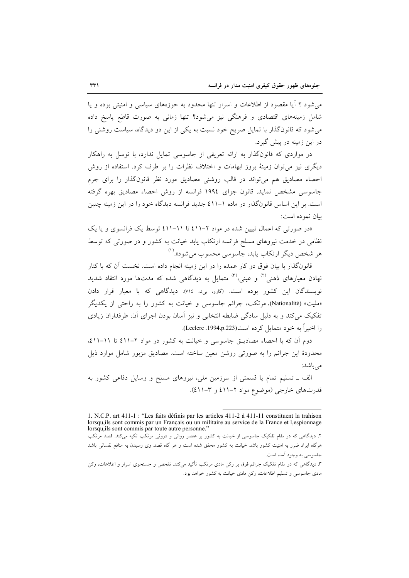می شود ؟ آیا مقصود از اطلاعات و اسرار تنها محدود به حوزههای سیاسی و امنیتی بوده و یا شامل زمینههای اقتصادی و فرهنگی نیز می شود؟ تنها زمانی به صورت قاطع پاسخ داده می شود که قانونگذار با تمایل صریح خود نسبت به یکی از این دو دیدگاه، سیاست روشنی را در این زمینه در پیش گیرد.

در مواردی که قانونگذار به ارائه تعریفی از جاسوسی تمایل ندارد، با توسل به راهکار دیگری نیز میتوان زمینهٔ بروز ابهامات و اختلاف نظرات را بر طرف کرد. استفاده از روش احصاء مصادیق هم میتواند در قالب روشنی مصادیق مورد نظر قانونگذار را برای جرم جاسوسی مشخص نماید. قانون جزای ۱۹۹٤ فرانسه از روش احصاء مصادیق بهره گرفته است. بر این اساس قانونگذار در ماده ۱-٤١١ جدید فرانسه دیدگاه خود را در این زمینه چنین بيان نمو ده است:

«در صورتی که اعمال تبیین شده در مواد ۲–۱۱) تا ۱۱–۱۱) توسط یک فرانسوی و یا یک نظامی در خدمت نیروهای مسلح فرانسه ارتکاب یابد خیانت به کشور و در صورتی که توسط هر شخص ديگر ارتکاب يابد، جاسوسي محسوب مي شود».<sup>(۱)</sup>

قانونگذار با بیان فوق دو کار عمده را در این زمینه انجام داده است. نخست آن که با کنار نهادن معیارهای ذهنی<sup>؟؟</sup> و عینی،<sup>؟؟</sup> متمایل به دیدگاه<sub>ی</sub> شده که مدتها مورد انتقاد شدید نویسندگان این کشور بوده است. (گارو، بیتا، ۷۱٤). دیدگاهی که با معیار قرار دادن «ملیت» (Nationalité). مرتکب، جرائم جاسوسی و خیانت به کشور را به راحتی از یکدیگر تفکیک می کند و به دلیل سادگی ضابطه انتخابی و نیز آسان بودن اجرای آن، طرفداران زیادی را اخيراً به خود متمايل كرده است(1994.p.223).

دوم أن كه با احصاء مصاديــق جاسوسي و خيانت به كشور در مواد ٢-٤١١ تا ١١-٤١١، محدودهٔ این جرائم را به صورتی روشن معین ساخته است. مصادیق مزبور شامل موارد ذیل مے باشد:

الف ـ تسلیم تمام یا قسمتی از سرزمین ملی، نیروهای مسلح و وسایل دفاعی کشور به قدرتهای خارجی (موضوع مواد ۲–۶۱۱ و ۳–۶۱۱).

<sup>1.</sup> N.C.P. art 411-1 : "Les faits définis par les articles 411-2 à 411-11 constituent la trahison lorsqualles sont commis par un Français ou un militaire au service de la France et l, espionnage lorsqu, ils sont commis par toute autre personne."

۲. دیدگاهی که در مقام تفکیک جاسوسی از خیانت به کشور بر عنصر روانی و درونی مرتکب تکیه میکند. قصد مرتکب هرگاه ایراد ضرر به امنیت کشور باشد خیانت به کشور محقق شده است و هر گاه قصد وی رسیدن به منافع نفسانی باشد جاسوسي به وجود اَمده است.

۳. دیدگاهی که در مقام تفکیک جرائم فوق بر رکن مادی مرتکب تأکید میکند. تفحص و جستجوی اسرار و اطلاعات، رکن مادی جاسوسی و تسلیم اطلاعات، رکن مادی خیانت به کشور خواهد بود.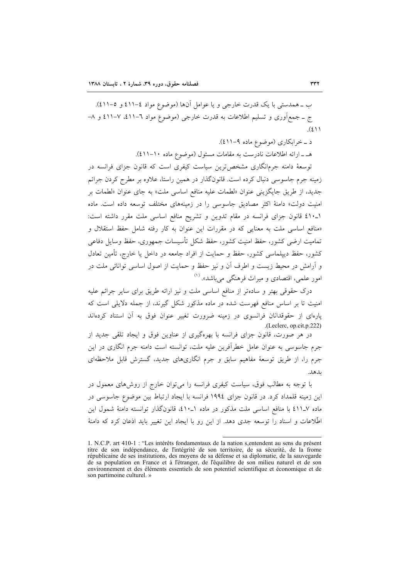ب ــ همدستي با يک قدرت خارجي و يا عوامل آنها (موضوع مواد ٤-٤١١ و ٥-٤١١). ج ـ جمع[وری و تسلیم اطلاعات به قدرت خارجی (موضوع مواد ٦–٤١١، ٧–٤١١ و ٨–  $(2)$ 

د \_ خرابکاري (موضوع ماده ۹-۱۱).

هـ ـ ارائه اطلاعات نادرست به مقامات مسئول (موضوع ماده ١٠-٤١١).

توسعهٔ دامنه جرمانگاری مشخصترین سیاست کیفری است که قانون جزای فرانسه در زمینه جرم جاسوسی دنبال کرده است. قانونگذار در همین راستا، علاوه بر مطرح کردن جرائم جديد، از طريق جايگزيني عنوان «لطمات عليه منافع اساسي ملت» به جاي عنوان «لطمات بر امنیت دولت» دامنهٔ اکثر مصادیق جاسوسی را در زمینههای مختلف توسعه داده است. ماده ١-٤١٠ قانون جزاي فرانسه در مقام تدوين و تشريح منافع اساسي ملت مقرر داشته است: «منافع اساسی ملت به معنایی که در مقررات این عنوان به کار رفته شامل حفظ استقلال و تمامیت ارضی کشور، حفظ امنیت کشور، حفظ شکل تأسیسات جمهوری، حفظ وسایل دفاعی کشور، حفظ دیپلماسی کشور، حفظ و حمایت از افراد جامعه در داخل یا خارج، تأمین تعادل و آرامش در محیط زیست و اطرف آن و نیز حفظ و حمایت از اصول اساسی توانائی ملت در امور علمی، اقتصادی و میراث فرهنگی می باشد». <sup>(۱)</sup>

درک حقوقی بهتر و سادهتر از منافع اساسی ملت و نیز ارائه طریق برای سایر جرائم علیه امنیت تا بر اساس منافع فهرست شده در ماده مذکور شکل گیرند، از جمله دلایلی است که پارهای از حقوقدانان فرانسوی در زمینه ضرورت تغییر عنوان فوق به آن استناد کردهاند .(Leclerc, op.cit.p.222)

در هر صورت، قانون جزای فرانسه با بهرهگیری از عناوین فوق و ایجاد تلقی جدید از جرم جاسوسی به عنوان عامل خطرآفرین علیه ملت، توانسته است دامنه جرم انگاری در این جرم را، از طریق توسعهٔ مفاهیم سابق و جرم انگاریهای جدید، گسترش قابل ملاحظهای ىلىھلە.

با توجه به مطالب فوق، سیاست کیفری فرانسه را می توان خارج از روشهای معمول در این زمینه قلمداد کرد. در قانون جزای ۱۹۹٤ فرانسه با ایجاد ارتباط بین موضوع جاسوسی در ماده ٤١١ـ١٧ با منافع اساسي ملت مذكور در ماده ١ـ١٠٪، قانونگذار توانسته دامنهٔ شمول اين اطِّلاعات و اسناد را توسعه جدی دهد. از این رو با ایجاد این تغییر باید اذعان کرد که دامنهٔ

<sup>1.</sup> N.C.P. art 410-1 : "Les intérêts fondamentaux de la nation s entendent au sens du présent titre de son indépendance, de l'intégrité de son territoire, de sa sécurité, de la frome républicaine de ses institutions, des moyens de sa défense et sa diplomatie, de la sauvegarde de sa population en France et à l'étranger, de l'équilibre de son milieu naturel et de son environnement et des éléments essentiels de son potentiel scientifique et économique et de son partimoine culturel. »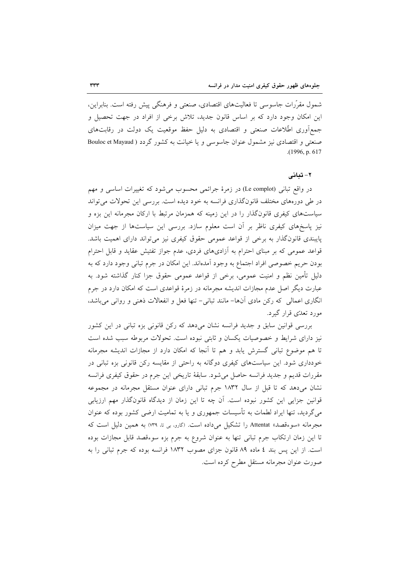شمول مقرَّرات جاسوسی تا فعالیتهای اقتصادی، صنعتی و فرهنگی پیش رفته است. بنابراین، این امکان وجود دارد که بر اساس قانون جدید، تلاش برخی از افراد در جهت تحصیل و جمع[وری اطِّلاعات صنعتی و اقتصادی به دلیل حفظ موقعیت یک دولت در رقابتهای صنعتی و اقتصادی نیز مشمول عنوان جاسوسی و یا خیانت به کشور گردد ( Bouloc et Mayaud  $(1996, p. 617)$ 

#### ۲- تبانی

در واقع تبانی (Le complot) در زمرهٔ جرائمی محسوب میشود که تغییرات اساسی و مهم در طی دورههای مختلف قانونگذاری فرانسه به خود دیده است. بررسی این تحولات می تواند سیاستهای کیفری قانونگذار را در این زمینه که همزمان مرتبط با ارکان مجرمانه این بزه و نیز پاسخهای کیفری ناظر بر آن است معلوم سازد. بررسی این سیاستها از جهت میزان پایبندی قانونِگذار به برخی از قواعد عمومی حقوق کیفری نیز می تواند دارای اهمیت باشد. قواعد عمومی که بر مبنای احترام به آزادیهای فردی، عدم جواز تفتیش عقاید و قابل احترام بودن حریم خصوصی افراد اجتماع به وجود أمدهاند. این امکان در جرم تبانی وجود دارد که به دلیل تأمین نظم و امنیت عمومی، برخی از قواعد عمومی حقوق جزا کنار گذاشته شود. به عبارت دیگر اصل عدم مجازات اندیشه مجرمانه در زمرهٔ قواعدی است که امکان دارد در جرم انگاری اعمالی که رکن مادی اّنها– مانند تبانی– تنها فعل و انفعالات ذهنی و روانی می باشد، مورد تعدّي قرار گيرد.

بررسی قوانین سابق و جدید فرانسه نشان میدهد که رکن قانونی بزه تبانی در این کشور نیز دارای شرایط و خصوصیات یکسان و ثابتی نبوده است. تحولات مربوطه سبب شده است تا هم موضوع تبانی گسترش یابد و هم تا آنجا که امکان دارد از مجازات اندیشه مجرمانه خودداری شود. این سیاستهای کیفری دوگانه به راحتی از مقایسه رکن قانونی بزه تبانی در مقررات قديم و جديد فرانسه حاصل مي شود. سابقهٔ تاريخي اين جرم در حقوق كيفري فرانسه نشان میدهد که تا قبل از سال ۱۸۳۲ جرم تبانی دارای عنوان مستقل مجرمانه در مجموعه قوانین جزایی این کشور نبوده است. آن چه تا این زمان از دیدگاه قانونگذار مهم ارزیابی میگردید، تنها ایراد لطمات به تأسیسات جمهوری و یا به تمامیت ارضی کشور بوده که عنوان مجرمانه «سوءقصد» Attentat را تشکیل می داده است. (گارو، بی تا، ۳۹) به همین دلیل است که تا این زمان ارتکاب جرم تبانی تنها به عنوان شروع به جرم بزه سوءقصد قابل مجازات بوده است. از این پس بند ٤ ماده ٨٩ قانون جزای مصوب ١٨٣٢ فرانسه بوده که جرم تبانی را به صورت عنوان مجرمانه مستقل مطرح كرده است.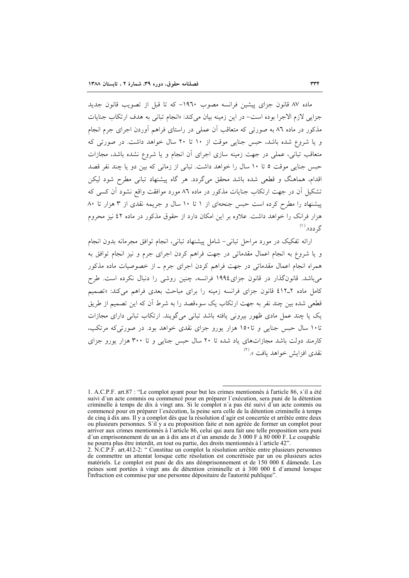ماده ۸۷ قانون جزای پیشین فرانسه مصوب ۱۹٦۰– که تا قبل از تصویب قانون جدید جزايي لازم الاجرا بوده است- در اين زمينه بيان مي كند: «انجام تباني به هدف ارتكاب جنايات مذکور در ماده ۸٦ به صورتی که متعاقب آن عملی در راستای فراهم آوردن اجرای جرم انجام و یا شروع شده باشد، حبس جنایی موقت از ۱۰ تا ۲۰ سال خواهد داشت. در صورتی که متعاقب تبانی، عملی در جهت زمینه سازی اجرای آن انجام و یا شروع نشده باشد، مجازات حبس جنایی موقت ٥ تا ١٠ سال را خواهد داشت. تبانی از زمانی که بین دو یا چند نفر قصد اقدام، هماهنگ و قطعی شده باشد محقق میگردد. هر گاه پیشنهاد تبانی مطرح شود لیکن تشکیل آن در جهت ارتکاب جنایات مذکور در ماده ۸٦ مورد موافقت واقع نشود آن کسی که پیشنهاد را مطرح کرده است حبس جنحهای از ۱ تا ۱۰ سال و جریمه نقدی از ۳ هزار تا ۸۰ هزار فرانک را خواهد داشت. علاوه بر این امکان دارد از حقوق مذکور در ماده ٤٢ نیز محروم گ دد».<sup>(۱)</sup>

ارائه تفکیک در مورد مراحل تبانی– شامل پیشنهاد تبانی، انجام توافق مجرمانه بدون انجام و یا شروع به انجام اعمال مقدماتی در جهت فراهم کردن اجرای جرم و نیز انجام توافق به همراه انجام اعمال مقدماتی در جهت فراهم کردن اجرای جرم ـ از خصوصیات ماده مذکور می باشد. قانونگذار در قانون جزای۱۹۹٤ فرانسه، چنین روشی را دنبال نکرده است. طرح قطعی شده بین چند نفر به جهت ارتکاب یک سوءقصد را به شرط آن که این تصمیم از طریق یک یا چند عمل مادی ظهور بیرونی یافته باشد تبانی میگویند. ارتکاب تبانی دارای مجازات تا۱۰ سال حسن جنایی و تا۱۵۰ هزار پورو جزای نقدی خواهد بود. در صورتی که مرتکب، کارمند دولت باشد مجازاتهای یاد شده تا ۲۰ سال حبس جنایی و تا ۳۰۰ هزار پورو جزای نقدی افزایش خواهد بافت ».<sup>(۲)</sup>

<sup>1.</sup> A.C.P.F. art.87 : "Le complot ayant pour but les crimes mentionnés à l'article 86, s'il a été suivi d'un acte commis ou commencé pour en préparer l'exécution, sera puni de la détention criminelle à temps de dix à vingt ans. Si le complot n'a pas été suivi d'un acte commis ou commencé pour en préparer l'exécution, la peine sera celle de la détention criminelle à temps de cinq à dix ans. Il y a complot dès que la résolution d'agir est concertée et arrêtée entre deux ou plusieurs personnes. S'il y a eu proposition faite et non agréée de former un complot pour<br>arriver aux crimes mentionnés à l'article 86, celui qui aura fait une telle proposition sera puni d'un emprisonnement de un an à dix ans et d'un amende de 3 000 F à 80 000 F. Le coupable ne pourra plus être interdit, en tout ou partie, des droits mentionnés à l'article 42

<sup>2.</sup> N.C.P.F. art.412-2: "Constitue un complot la résolution arrêtée entre plusieurs personnes de commettre un attentat lorsque cette résolution est concrétisée par un ou plusieurs actes matériels. Le complot est puni de dix ans démprisonnement et de 150 000 £ dámende. Les peines sont portées à vingt ans de détention criminelle et à 300 000 £ d'amend lorsque l'infraction est commise par une personne dépositaire de l'autorité publique".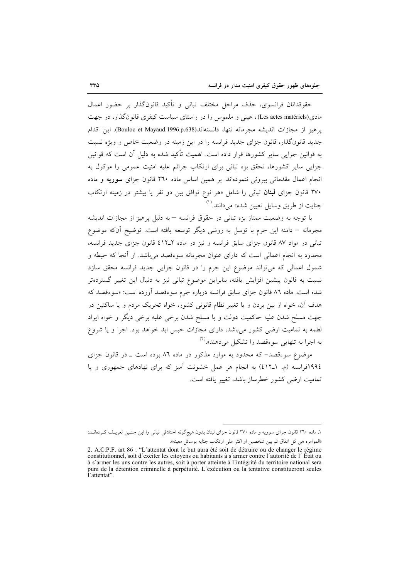حقوقدانان فرانسوي، حذف مراحل مختلف تباني و تأكيد قانونگذار بر حضور اعمال مادي(Les actes matériels)، عيني و ملموس را در راستاي سياست كيفري قانون گذار، در جهت يوهيز از مجازات انديشه مجرمانه تنها، دانستهاند(Bouloc et Mayaud.1996.p.638). اين اقدام جدید قانونگذار، قانون جزای جدید فرانسه را در این زمینه در وضعیت خاص و ویژه نسبت به قوانین جزایی سایر کشورها قرار داده است. اهمیت تأکید شده به دلیل آن است که قوانین جزایی سایر کشورها، تحقق بزه تبانی برای ارتکاب جرائم علیه امنیت عمومی را موکول به انجام اعمال مقدماتی بیرونی ننمودهاند. بر همین اساس ماده ۲٦٠ قانون جزای سوریه و ماده ۲۷۰ قانون جزای **لبنان** تبانی را شامل «هر نوع توافق بین دو نفر یا بیشتر در زمینه ارتکاب جنايت از طريق وسايل تعيين شده» مي دانند.<sup>(۱)</sup>

با توجه به وضعیت ممتاز بزه تبانی در حقوق فرانسه –به دلیل پرهیز از مجازات اندیشه مجرمانه – دامنه این جرم با توسل به روشی دیگر توسعه یافته است. توضیح آنکه موضوع تبانی در مواد ۸۷ قانون جزای سابق فرانسه و نیز در ماده ۲ـ۶۱۲ قانون جزای جدید فرانسه، محدود به انجام اعمالی است که دارای عنوان مجرمانه سوءقصد می باشد. از آنجا که حیطه و شمول اعمالی که می تواند موضوع این جرم را در قانون جزایی جدید فرانسه محقق سازد نسبت به قانون پیشین افزایش یافته، بنابراین موضوع تبانی نیز به دنبال این تغییر گستردهتر شده است. ماده ۸٦ قانون جزای سابق فرانسه درباره جرم سوءقصد آورده است: «سوءقصد که هدف آن، خواه از بین بردن و یا تغییر نظام قانونی کشور، خواه تحریک مردم و یا ساکنین در جهت مسلح شدن عليه حاكميت دولت ويا مسلح شدن برخي عليه برخي ديگر و خواه ايراد لطمه به تمامیت ارضی کشور میباشد، دارای مجازات حبس ابد خواهد بود. اجرا و یا شروع به اجرا به تنهایی سوءقصد را تشکیل می دهند».<sup>(۲)</sup>

موضوع سوءقصد- که محدود به موارد مذکور در ماده ۸٦ بوده است ـ در قانون جزای ١٩٩٤فرانسه (م. ١-٤١٢) به انجام هر عمل خشونت آميز كه براي نهادهاي جمهوري و يا تمامیت ارضی کشور خطرساز پاشد، تغییر بافته است.

١. ماده ٢٦٠ قانون جزاي سوريه و ماده ٢٧٠ قانون جزاي لبنان بدون هيچگونه اختلافي تباني را اين چنـين تعريـف كـردهانـد: «الموامره هي كل اتفاق تم بين شخصين او اكثر على ارتكاب جنايه بوسائل معينه».

<sup>2.</sup> A.C.P.F. art 86 : "L'attentat dont le but aura été soit de détruire ou de changer le régime constitutionnel, soit d'exciter les citoyens ou habitants à s'armer contre l'autorité de l'État ou

à s'armer les uns contre les autres, soit à porter atteinte à l'intégrité du territoire national sera puni de la détention criminelle à perpétuité. L'exécution ou la tentative constitueront seules l'attentat"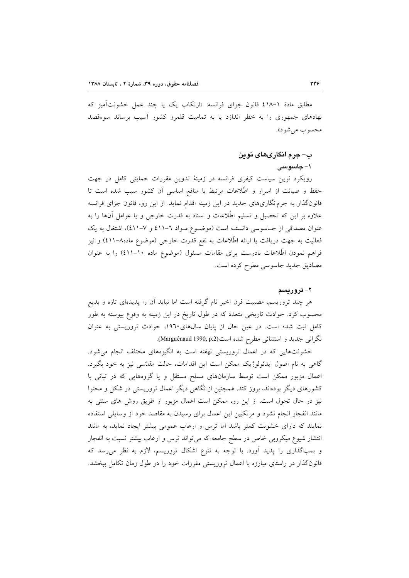مطابق مادهٔ ۱-٤۱۸ قانون جزای فرانسه: «ارتکاب یک یا چند عمل خشونتآمیز که نهادهای جمهوری را به خطر اندازد یا به تمامیت قلمرو کشور آسیب برساند سوءقصد محسوب مي شود».

## ب– جرم انگاریهای نوین

#### ۱– جاسو سی

رویکرد نوین سیاست کیفری فرانسه در زمینهٔ تدوین مقررات حمایتی کامل در جهت حفظ و صیانت از اسرار و اطِّلاعات مرتبط با منافع اساسی أن کشور سبب شده است تا قانونگذار به جرمانگاریهای جدید در این زمینه اقدام نماید. از این رو، قانون جزای فرانسه علاوه بر این که تحصیل و تسلیم اطِّلاعات و اسناد به قدرت خارجی و یا عوامل آنها را به عنوان مصداقی از جـاسوسی دانستـه است (موضـوع مـواد ٦-٤١١ و ٧-٤١١)، اشتغال به یک فعالیت به جهت دریافت یا ارائه اطِّلاعات به نفع قدرت خارجی (موضوع ماده۸–٤١١) و نیز فراهم نمودن اطِّلاعات نادرست برای مقامات مسئول (موضوع ماده ۱۰–٤١١) را به عنوان مصاديق جديد جاسوسي مطرح كرده است.

#### ۲– تر و ریسم

هر چند تروریسم، مصیبت قرن اخیر نام گرفته است اما نباید آن را پدیدهای تازه و بدیع محسوب کرد. حوادث تاریخی متعدد که در طول تاریخ در این زمینه به وقوع پیوسته به طور کامل ثبت شده است. در عین حال از پایان سالهای ۱۹۶۰، حوادث تروریستی به عنوان نگرانی جدید و استثنائی مطرح شده است(Marguénaud 1990, p.2).

خشونتهایی که در اعمال تروریستی نهفته است به انگیزههای مختلف انجام میشود. گاهی به نام اصول ایدئولوژیک ممکن است این اقدامات، حالت مقدّسی نیز به خود بگیرد. اعمال مزبور ممکن است توسط سازمانهای مسلح مستقل و یا گروههایی که در تبانی با کشورهای دیگر بودهاند، بروز کند. همچنین از نگاهی دیگر اعمال تروریستی در شکل و محتوا نیز در حال تحول است. از این رو، ممکن است اعمال مزبور از طریق روش های سنتی به مانند انفجار انجام نشود و مرتکبین این اعمال برای رسیدن به مقاصد خود از وسایلی استفاده نمایند که دارای خشونت کمتر باشد اما ترس و ارعاب عمومی بیشتر ایجاد نماید، به مانند انتشار شیوع میکروبی خاص در سطح جامعه که می تواند ترس و ارعاب بیشتر نسبت به انفجار و بمبگذاری را پدید آورد. با توجه به تنوع اشکال تروریسم، لازم به نظر می رسد که قانونگذار در راستای مبارزه با اعمال تروریستی مقررات خود را در طول زمان تکامل ببخشد.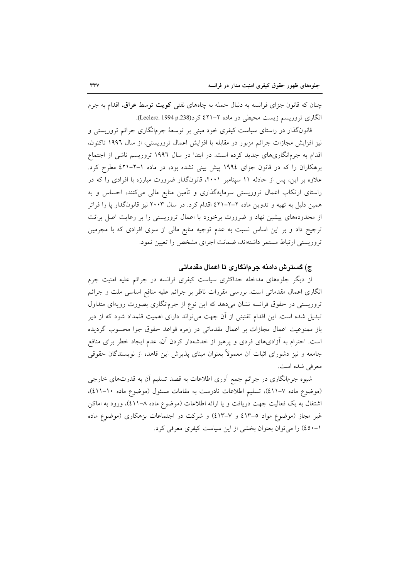چنان که قانون جزای فرانسه به دنبال حمله به چاههای نفتی کویت توسط عراق، اقدام به جرم انگاری تروریسم زیست محیطی در ماده ۲–۲۱ کرد(p.238 (Leclerc. 1994 p.238).

قانونگذار در راستای سیاست کیفری خود مبنی بر توسعهٔ جرمانگاری جرائم تروریستی و نیز افزایش مجازات جرائم مزبور در مقابله با افزایش اعمال تروریستی، از سال ۱۹۹۲ تاکنون، اقدام به جرمانگاریهای جدید کرده است. در ابتدا در سال ۱۹۹۲ تروریسم ناشی از اجتماع بزهکاران را که در قانون جزای ۱۹۹٤ پیش بینی نشده بود، در ماده ۱-۲-۶۱۱ مطرح کرد. علاوه بر این، پس از حادثه ۱۱ سپتامبر ۲۰۰۱، قانونگذار ضرورت مبارزه با افرادی را که در راستای ارتکاب اعمال تروریستی سرمایهگذاری و تأمین منابع مالی میکنند، احساس و به همین دلیل به تهیه و تدوین ماده ۲–۲–۶۲۱ اقدام کرد. در سال ۲۰۰۳ نیز قانونگذار پا را فراتر از محدودههای پیشین نهاد و ضرورت برخورد با اعمال تروریستی را بر رعایت اصل برائت ترجیح داد و بر این اساس نسبت به عدم توجیه منابع مالی از سوی افرادی که با مجرمین تروریستی ارتباط مستمر داشتهاند، ضمانت اجرای مشخص را تعیین نمود.

## ج) گسترش دامنه جرمانگاری تا اعمال مقدماتی

از دیگر جلوههای مداخله حداکثری سیاست کیفری فرانسه در جرائم علیه امنیت جرم انگاری اعمال مقدماتی است. بررسی مقررات ناظر بر جرائم علیه منافع اساسی ملت و جرائم تروریستی در حقوق فرانسه نشان میدهد که این نوع از جرمانگاری بصورت رویهای متداول تبدیل شده است. این اقدام تقنینی از آن جهت میٍتواند دارای اهمیت قلمداد شود که از دیر باز ممنوعیت اعمال مجازات بر اعمال مقدماتی در زمره قواعد حقوق جزا محسوب گردیده است. احترام به آزادیهای فردی و پرهیز از خدشهدار کردن آن، عدم ایجاد خطر برای منافع جامعه و نیز دشورای اثبات آن معمولاً بعنوان مبنای پذیرش این قاهده از نویسندگان حقوقی معرفي شده است.

شیوه جرمانگاری در جرائم جمع آوری اطلاعات به قصد تسلیم آن به قدرتهای خارجی (موضوع ماده ٧-٤١١)، تسليم اطلاعات نادرست به مقامات مسئول (موضوع ماده ١٠-٤١١)، اشتغال به یک فعالیت جهت دریافت و یا ارائه اطلاعات (موضوع ماده ۸–۱۱)، ورود به اماکن غیر مجاز (موضوع مواد ٥–٤١٣ و ٧–٤١٣) و شركت در اجتماعات بزهكارى (موضوع ماده ۱–٤٥٠) را مي توان بعنوان بخشي از اين سياست كيفري معرفي كرد.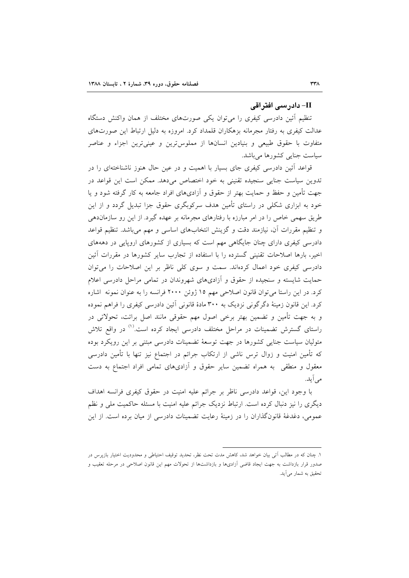#### II– دادر سے افتر اقی

تنظیم آئین دادرسی کیفری را می توان یکی صورتهای مختلف از همان واکنش دستگاه عدالت کیفری به رفتار مجرمانه بزهکاران قلمداد کرد. امروزه به دلیل ارتباط این صورتهای متفاوت با حقوق طبیعی و بنیادین انسانها از مملوس ترین و عینی ترین اجزاء و عناصر سیاست جنایی کشورها میباشد.

قواعد أئین دادرسی کیفری جای بسیار با اهمیت و در عین حال هنوز ناشناختهای را در تدوین سیاست جنایی سنجیده تقنینی به خود اختصاص میدهد. ممکن است این قواعد در جهت تأمین و حفظ و حمایت بهتر از حقوق و آزادیهای افراد جامعه به کار گرفته شود و پا خود به ابزاری شکلی در راستای تأمین هدف سرکوبگری حقوق جزا تبدیل گردد و از این طریق سهمی خاص را در امر مبارزه با رفتارهای مجرمانه بر عهده گیرد. از این رو سازماندهی و تنظیم مقررات آن، نیازمند دقت و گزینش انتخابهای اساسی و مهم میباشد. تنظیم قواعد دادرسی کیفری دارای چنان جایگاهی مهم است که بسیاری از کشورهای اروپایی در دهههای اخیر، بارها اصلاحات تقنینی گسترده را با استفاده از تجارب سایر کشورها در مقررات آئین دادرسی کیفری خود اعمال کردهاند. سمت و سوی کلی ناظر بر این اصلاحات را می توان حمایت شایسته و سنجیده از حقوق و آزادیهای شهروندان در تمامی مراحل دادرسی اعلام كرد. در اين راستا مي توان قانون اصلاحي مهم ١٥ ژوئن ٢٠٠٠ فرانسه را به عنوان نمونه اشاره کرد. این قانون زمینهٔ دگرگونی نزدیک به ۳۰۰ مادهٔ قانونی آئین دادرسی کیفری را فراهم نموده و به جهت تأمین و تضمین بهتر برخی اصول مهم حقوقی مانند اصل برائت، تحولاتی در راستای گسترش تضمینات در مراحل مختلف دادرسی ایجاد کرده است.<sup>(۱)</sup> در واقع تلاش متولیان سیاست جنایی کشورها در جهت توسعهٔ تضمینات دادرسی مبتنی بر این رویکرد بوده که تأمین امنیت و زوال ترس ناشی از ارتکاب جرائم در اجتماع نیز تنها با تأمین دادرسی معقول و منطقی به همراه تضمین سایر حقوق و آزادیهای تمامی افراد اجتماع به دست می آید.

با وجود این، قواعد دادرسی ناظر بر جرائم علیه امنیت در حقوق کیفری فرانسه اهداف دیگری را نیز دنبال کرده است. ارتباط نزدیک جرائم علیه امنیت با مسئله حاکمیت ملی و نظم عمومی، دغدغهٔ قانونگذاران را در زمینهٔ رعایت تضمینات دادرسی از میان برده است. از این

١. جنان كه در مطالب اَتي بيان خواهد شد، كاهش مدت تحت نظر، تحديد توقيف احتياطي و محدوديت اختيار بازپرس در صدور قرار بازداشت به جهت ایجاد قاضی آزادیها و بازداشتها از تحولات مهم این قانون اصلاحی در مرحله تعقیب و تحقیق به شمار میآید.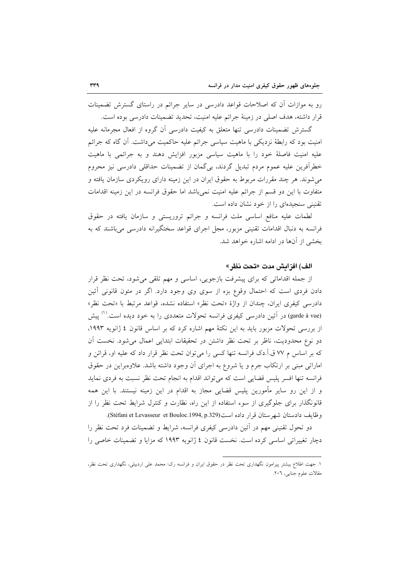رو به موازات آن که اصلاحات قواعد دادرسی در سایر جرائم در راستای گسترش تضمینات قرار داشته، هدف اصلی در زمینهٔ جرائم علیه امنیت، تحدید تضمینات دادرسی بوده است.

گسترش تضمینات دادرسی تنها متعلق به کیفیت دادرسی آن گروه از افعال مجرمانه علیه امنیت بود که رابطهٔ نزدیکی با ماهیت سیاسی جرائم علیه حاکمیت میداشت. آن گاه که جرائم علیه امنیت فاصلهٔ خود را با ماهیت سیاسی مزبور افزایش دهند و به جرائمی با ماهیت خطرآفرین علیه عموم مردم تبدیل گردند، بیگمان از تضمینات حداقلی دادرسی نیز محروم می شوند. هر چند مقررات مربوط به حقوق ایران در این زمینه دارای رویکردی سازمان یافته و متفاوت با این دو قسم از جرائم علیه امنیت نمی باشد اما حقوق فرانسه در این زمینه اقدامات تقنینی سنجیدهای را از خود نشان داده است.

لطمات عليه منافع اساسي ملت فرانسه و جرائم تروريستي و سازمان يافته در حقوق فرانسه به دنبال اقدامات تقنینی مزبور، مجل اجرای قواعد سختگیرانه دادرسی می باشند که به بخشی از آنها در ادامه اشاره خواهد شد.

## الف) افزايش مدت «تحت نظر»

از جمله اقداماتی که برای پیشرفت بازجویی، اساسی و مهم تلقی میشود، تحت نظر قرار دادن فردی است که احتمال وقوع بزه از سوی وی وجود دارد. اگر در متون قانونی آئین دادرسی کیفری ایران، چندان از واژهٔ «تحت نظر» استفاده نشده، قواعد مرتبط با «تحت نظر» (garde à vue) در آئین دادرسی کیفری فرانسه تحولات متعددی را به خود دیده است.<sup>(۱)</sup> پیش از بررسی تحولات مزبور باید به این نکتهٔ مهم اشاره کرد که بر اساس قانون ٤ ژانویه ١٩٩٣، دو نوع محدودیت، ناظر بر تحت نظر داشتن در تحقیقات ابتدایی اعمال میشود. نخست آن که بر اساس م ۷۷ ق.آ.دک فرانسه تنها کسی را می توان تحت نظر قرار داد که علیه او، قرائن و اماراتی مبنی بر ارتکاب جرم و یا شروع به اجرای آن وجود داشته باشد. علاوهبراین در حقوق فرانسه تنها افسر پلیس قضایی است که می تواند اقدام به انجام تحت نظر نسبت به فردی نماید و از این رو سایر مأمورین پلیس قضایی مجاز به اقدام در این زمینه نیستند. با این همه قانونگذار برای جلوگیری از سوء استفاده از این راه، نظارت و کنترل شرایط تحت نظر را از وظايف دادستان شهرستان قرار داده است(Stéfani et Levasseur et Bouloc.1994, p.329).

دو تحول تقنینی مهم در آئین دادرسی کیفری فرانسه، شرایط و تضمینات فرد تحت نظر را دچار تغییراتی اساسی کرده است. نخست قانون ٤ ژانویه ١٩٩٣ که مزایا و تضمینات خاصی را

۱. جهت اطلاع بیشتر پیرامون نگهداری تحت نظر در حقوق ایران و فرانسه رک: محمد علی اردبیلی، نگهداری تحت نظر، مقالات علوم جنايي، ٢٠٦.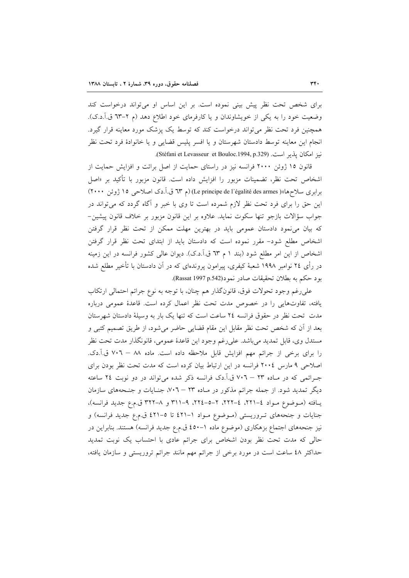برای شخص تحت نظر پیش بینی نموده است. بر این اساس او می تواند درخواست کند وضعیت خود را به یکی از خویشاوندان و یا کارفرمای خود اطلاع دهد (م ۲–٦٣ ق.آ.د.ک). همچنین فرد تحت نظر میتواند درخواست کند که توسط یک پزشک مورد معاینه قرار گیرد. انجام این معاینه توسط دادستان شهرستان و یا افسر پلیس قضایی و یا خانوادهٔ فرد تحت نظر نيز امكان پذير است. (Stéfani et Levasseur et Bouloc.1994, p.329).

قانون ۱۵ ژوئن ۲۰۰۰ فرانسه نیز در راستای حمایت از اصل برائت و افزایش حمایت از اشخاص تحت نظر، تضمينات مزبور را افزايش داده است. قانون مزبور با تأكيد بر «اصل برابری سلاحها)( Le principe de l'égalité des armes) (م ٦٣ ق.آ.دک اصلاحی ١٥ ژوئن ٢٠٠٠) این حق را برای فرد تحت نظر لازم شمرده است تا وی با خبر و آگاه گردد که می تواند در جواب سؤالات بازجو تنها سكوت نمايد. علاوه بر اين قانون مزبور بر خلاف قانون پيشين– که بیان می نمود دادستان عمومی باید در بهترین مهلت ممکن از تحت نظر قرار گرفتن اشخاص مطلع شود- مقرر نموده است که دادستان باید از ابتدای تحت نظر قرار گرفتن اشخاص از این امر مطلع شود (بند ۱ م ٦٣ ق.آ.د.ک). دیوان عالی کشور فرانسه در این زمینه در رأی ۲٤ نوامبر ۱۹۹۸ شعبهٔ کیفری، پیرامون پروندهای که در آن دادستان با تأخیر مطلع شده بود حكم به بطلان تحقيقات صادر نمود(Passat 1997 p.542).

علي رغم وجود تحولات فوق، قانونگذار هم چنان، با توجه به نوع جرائم احتمالي ارتكاب یافته، تفاوتهایی را در خصوص مدت تحت نظر اعمال کرده است. قاعدهٔ عمومی درباره مدت تحت نظر در حقوق فرانسه ٢٤ ساعت است كه تنها يك بار به وسيلة دادستان شهرستان بعد از آن که شخص تحت نظر مقابل این مقام قضایی حاضر میشود، از طریق تصمیم کتبی و مستدل وي، قابل تمديد مي باشد. على رغم وجود اين قاعدهٔ عمومي، قانونگذار مدت تحت نظر را براي برخي از جرائم مهم افزايش قابل ملاحظه داده است. ماده ٨٨ – ٧٠٦ ق.آ.دک. اصلاحی ۹ مارس ۲۰۰٤ فرانسه در این ارتباط بیان کرده است که مدت تحت نظر بودن برای جـرائمي كه در مـاده ٢٣ – ٧٠٦ ق.آ.دک فرانسه ذکر شده ميتواند در دو نوبت ٢٤ ساعته دیگر تمدید شود. از جمله جرائم مذکور در مـاده ۲۳ – ۷۰٦، جنـایات و جنـحههای سازمان يافته (موضوع مواد ٤-٢٢١، ٤-٢٢٢، ٢-٥-٢٢٤، ٩-٣١١ و ٨-٣٢٢ ق.م.ع جديد فرانسه)، جنایات و جنحههای تـروریستی (مـوضوع مـواد ١-٤٢١ تا ٥-٤٢١ ق.م.ع جدید فرانسه) و نیز جنحههای اجتماع بزهکاری (موضوع ماده ١–٤٥٠ ق.م.ع جدید فرانسه) هستند. بنابراین در حالی که مدت تحت نظر بودن اشخاص برای جرائم عادی با احتساب یک نوبت تمدید حداکثر ٤٨ ساعت است در مورد برخی از جرائم مهم مانند جرائم تروریستی و سازمان یافته،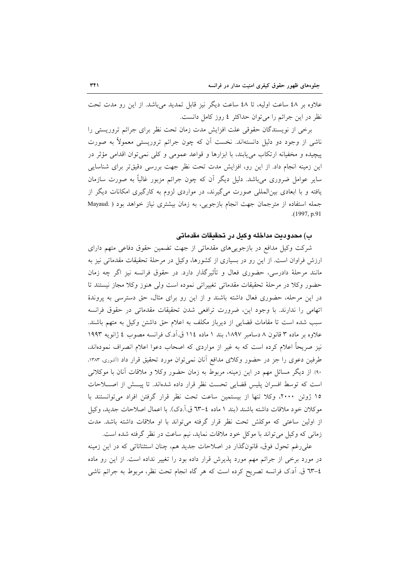علاوه بر ٤٨ ساعت اوليه، تا ٤٨ ساعت ديگر نيز قابل تمديد مي باشد. از اين رو مدت تحت نظر در این جرائم را می توان حداکثر ٤ روز کامل دانست.

برخی از نویسندگان حقوقی علت افزایش مدت زمان تحت نظر برای جرائم تروریستی را ناشی از وجود دو دلیل دانستهاند. نخست آن که چون جرائم تروریستی معمولاً به صورت پیچیده و مخفیانه ارتکاب می یابند، با ابزارها و قواعد عمومی و کلی نمی توان اقدامی مؤثر در این زمینه انجام داد. از این رو، افزایش مدت تحت نظر جهت بررسی دقیقتر برای شناسایی سایر عوامل ضروری می باشد. دلیل دیگر آن که چون جرائم مزبور غالباً به صورت سازمان یافته و با ابعادی بین المللی صورت میگیرند، در مواردی لزوم به کارگیری امکانات دیگر از جمله استفاده از مترجمان جهت انجام بازجويى، به زمان بيشترى نياز خواهد بود ( .Mayaud  $(1997, p.91)$ 

#### ب) محدوديت مداخله وكيل در تحقيقات مقدماتي

شرکت وکیل مدافع در بازجوییهای مقدماتی از جهت تضمین حقوق دفاعی متهم دارای ارزش فراوان است. از این رو در بسیاری از کشورها، وکیل در مرحلهٔ تحقیقات مقدماتی نیز به مانند مرحلهٔ دادرسی، حضوری فعال و تأثیرگذار دارد. در حقوق فرانسه نیز اگر چه زمان حضور وكلا در مرحلة تحقيقات مقدماتي تغييراتي نموده است ولي هنوز وكلا مجاز نيستند تا در این مرحله، حضوری فعال داشته باشند و از این رو برای مثال، حق دسترسی به پروندهٔ اتهامی را ندارند. با وجود این، ضرورت ترافعی شدن تحقیقات مقدماتی در حقوق فرانسه سبب شده است تا مقامات قضایی از دیرباز مکلف به اعلام حق داشتن وکیل به متهم باشند. علاوه بر ماده ۳ قانون ۸ دسامبر ۱۸۹۷، بند ۱ ماده ۱۱٤ ق.آد.ک فرانسه مصوب ٤ ژانويه ۱۹۹۳ نیز صریحاً اعلام کرده است که به غیر از مواردی که اصحاب دعوا اعلام انصراف نمودهاند، طرفین دعوی را جز در حضور وکلای مدافع آنان نمی توان مورد تحقیق قرار داد (آشوری، ۱۳۸۳. ۹۰). از دیگر مسائل مهم در این زمینه، مربوط به زمان حضور وکلا و ملاقات آنان با موکلانی است كه توسط افسران پليس قضايي تحت نظر قرار داده شدهاند. تا پيسش از اصلاحات ١٥ ژوئن ٢٠٠٠، وكلا تنها از بيستمين ساعت تحت نظر قرار گرفتن افراد مي توانستند با موكلان خود ملاقات داشته باشند (بند ١ ماده ٤–٦٣ ق.أ.دك). با اعمال اصلاحات جديد، وكيل از اولین ساعتی که موکلش تحت نظر قرار گرفته می تواند با او ملاقات داشته باشد. مدت زمانی که وکیل می تواند با موکل خود ملاقات نماید، نیم ساعت در نظر گرفته شده است.

علی رغم تحول فوق، قانونگذار در اصلاحات جدید هم، چنان استثنائاتی که در این زمینه در مورد برخی از جرائم مهم مورد پذیرش قرار داده بود را تغییر نداده است. از این رو ماده ٤–٦٣ ق. آد.ک فرانسه تصریح کرده است که هر گاه انجام تحت نظر، مربوط به جرائم ناشی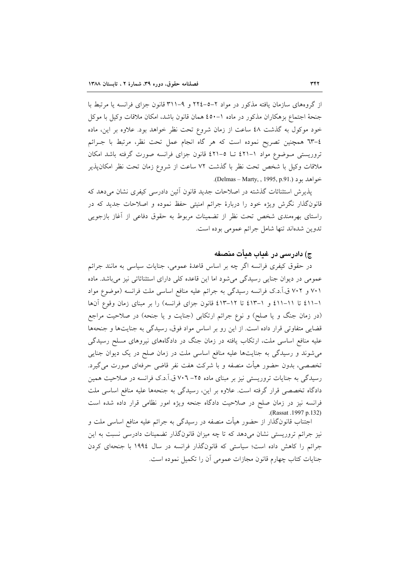از گروههای سازمان یافته مذکور در مواد ۲–۵–۲۲٤ و ۹–۳۱۱ قانون جزای فرانسه یا مرتبط با جنحهٔ اجتماع بزهکاران مذکور در ماده ١–٤٥٠ همان قانون باشد، امکان ملاقات وکیل با موکل خود موکول به گذشت ٤٨ ساعت از زمان شروع تحت نظر خواهد بود. علاوه بر این، ماده ٤–٦٣ همچنين تصريح نموده است كه هر گاه انجام عمل تحت نظر، مرتبط با جـرائم تروریستی مـوضوع مواد ۱–۶۲۱ تـا ۵–۶۲۱ قانون جزای فرانسه صورت گرفته باشد امکان ملاقات وكيل با شخص تحت نظر با گذشت ٧٢ ساعت از شروع زمان تحت نظر امكانپذير خواهد يو د (.Delmas – Marty, , 1995, p.91).

يذيرش استثنائات گذشته در اصلاحات جديد قانون اَئين دادرسي كيفري نشان مي دهد كه قانونگذار نگرش ویژه خود را دربارهٔ جرائم امنیتی حفظ نموده و اصلاحات جدید که در راستای بهرهمندی شخص تحت نظر از تضمینات مربوط به حقوق دفاعی از آغاز بازجویی تدوين شدهاند تنها شامل جرائم عمومي بوده است.

# ج) دادرسی در غیاب هیأت منصفه

در حقوق کیفری فرانسه اگر چه بر اساس قاعدهٔ عمومی، جنایات سیاسی به مانند جرائم عمومی در دیوان جنایی رسیدگی می شود اما این قاعده کلی دارای استثنائاتی نیز می باشد. ماده ۷۰۱ و ۷۰۲ ق.آ.د.ک فرانسه رسیدگی به جرائم علیه منافع اساسی ملت فرانسه (موضوع مواد ١-٤١١ تا ١١-٤١١ و ١-٤١٣ تا ١٢-٤١٣ قانون جزاى فرانسه) را بر مبناى زمان وقوع آنها (در زمان جنگ و یا صلح) و نوع جرائم ارتکابی (جنایت و یا جنحه) در صلاحیت مراجع قضایی متفاوتی قرار داده است. از این رو بر اساس مواد فوق، رسیدگی به جنایتها و جنحهها علیه منافع اساسی ملت، ارتکاب یافته در زمان جنگ در دادگاههای نیروهای مسلح رسیدگی می شوند و رسیدگی به جنایتها علیه منافع اساسی ملت در زمان صلح در یک دیوان جنایی تخصصی، بدون حضور هیأت منصفه و با شرکت هفت نفر قاضی حرفهای صورت می گیرد. رسیدگی به جنایات تروریستی نیز بر مبنای ماده ۲۵– ۷۰۲ ق.آ.د.ک فرانسه در صلاحیت همین دادگاه تخصصی قرار گرفته است. علاوه بر این، رسیدگی به جنحهها علیه منافع اساسی ملت فرانسه نیز در زمان صلح در صلاحیت دادگاه جنحه ویژه امور نظامی قرار داده شده است (Rassat .1997 p.132).

اجتناب قانونگذار از حضور هیأت منصفه در رسیدگی به جرائم علیه منافع اساسی ملت و نیز جرائم تروریستی نشان میدهد که تا چه میزان قانونگذار تضمینات دادرسی نسبت به این جرائم را کاهش داده است؛ سیاستی که قانونگذار فرانسه در سال ۱۹۹٤ با جنحهای کردن جنایات کتاب چهارم قانون مجازات عمومی آن را تکمیل نموده است.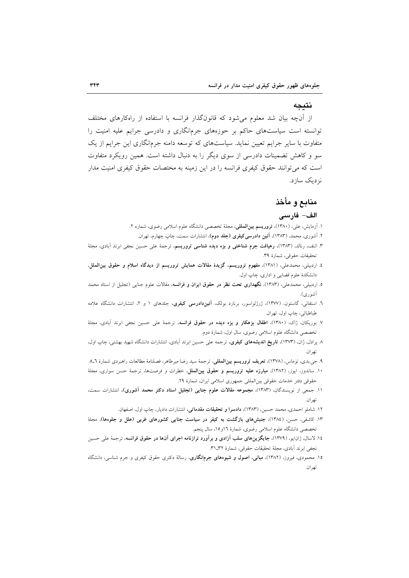#### نتىحە

از آنچه بیان شد معلوم می شود که قانونگذار فرانسه با استفاده از راهکارهای مختلف توانسته است سیاستهای حاکم بر حوزههای جرمانگاری و دادرسی جرایم علیه امنیت را متفاوت با سایر جرایم تعیین نماید. سیاستهای که توسعه دامنه جرمانگاری این جرایم از یک سو و کاهش تضمینات دادرسی از سوی دیگر را به دنبال داشته است. همین رویکرد متفاوت است که می توانند حقوق کیفری فرانسه را در این زمینه به مختصات حقوق کیفری امنیت مدار نز دیک ساز د.

# منابع و مأخذ

### الف- فارسى

- ۱. آزمایش، علی، (۱۳۸۰)، **تروریسم بین|لمللی**، مجلهٔ تخصصی دانشگاه علوم اسلامی رضوی، شماره ۲.
	- ۲. آشوری، محمد، (۱۳۸۳)، آ**نین دادرسی کیفری (جلد دوم)**، انتشارات سمت، چاپ چهارم، تهران.
- ۳. اتنف، رنالد، (۱۳۸۳)، **رهیافت جرم شناختی و بزه دیده شناسی تروریسم**، ترجمهٔ علی حسین نجفی ابرند آبادی، مجلهٔ تحقيقات حقوقي، شمارة ٣٩.
- ٤. اردبیلی، محمدعلی، (١٣٨١)، مفهوم تروریسم، گزیدهٔ مقالات همایش تروریسم از دیدگاه اسلام و حقوق بین الملل، دانشکدهٔ علوم قضایی و اداری، چاپ اول.
- ۵. اردبیلی، محمدعلی، (۱۳۸۳)، نگهداری تحت نظر در حقوق ایران و فرانسه، مقالات علوم جنایی (تجلیل از استاد محمد آشوري).
- ٦. استفانی، گاستون، (١٣٧٧)، ژرژلواسور، برنارد بولک، آ**ئیندادرسی کیفری**، جلدهای ١ و ٢، انتشارات دانشگاه علامه طباطبائي، چاپ اول، تهران.
- ٧. بوریکان، ژاک، (١٣٨٠)، اطفال بزهکار و بزه دیده در حقوق فرانسه، ترجمهٔ علی حسین نجفی ابرند آبادی، مجلهٔ تخصصی دانشگاه علوم اسلامی رضوی، سال اول، شمارهٔ دوم.
- ۸ پرادل، ژان، (۱۳۷۳)، **تاریخ اندیشههای کیفری**، ترجمه علی حسین ابرند اَبادی، انتشارات دانشگاه شهید بهشتی، چاپ اول، تهران.
- ۹. جی.بدی، توماس، (۱۳۷۸)، **تعریف تروریسم بین(لمللی**، ترجمهٔ سید رضا میرطاهر، فصلنامهٔ مطالعات راهبردی شمارهٔ ٦\_٥.
- ۱۰. ساندوز، ایوز، (۱۳۸۲)، م**بارزه علیه تروریسم و حقوق بین الملل**، خطرات و فرصتها، ترجمهٔ حسن سواری، مجلهٔ حقوقي دفتر خدمات حقوقي بين المللي جمهوري اسلامي ايران، شمارة ٢٩.
- ١١. جمعي از نويسندگان، (١٣٨٣)، مجموعه مقالات علوم جنايي (تجليل استاد دكتر محمد آشوري)، انتشارات سمت، تهران.
	- ۱۲. شاملو احمدی، محمد حسین، (۱۳۸۳)، **دادسرا و تحقیقات مقدماتی**، انتشارات دادیار، چاپ اول، اصفهان.
- ۱۳. کاشفی، حسن، (۱۳۸٤)، جنبشهای بازگشت به کیفر در سیاست جنایی کشورهای غربی (علل و جلوهها)، مجلهٔ تخصصی دانشگاه علوم اسلامی رضوی، شمارهٔ ۱۲و۱۵، سال پنجم.
- ١٤. لاسال، ژانایو، (١٣٧٩)، جایگزینهای سلب آزادی و برآورد ترازنامه اجرای آنها در حقوق فرانسه، ترجمهٔ علی حسین نجفي ابرند آبادي، مجلة تحقيقات حقوقي، شمارة ٣١\_٣١.
- ۱۵. محمودی، فیروز، (۱۳۸۲)، **مبانی، اصول و شیوههای جرمانگاری**، رسالهٔ دکتری حقوق کیفری و جرم شناسی، دانشگاه تهران.